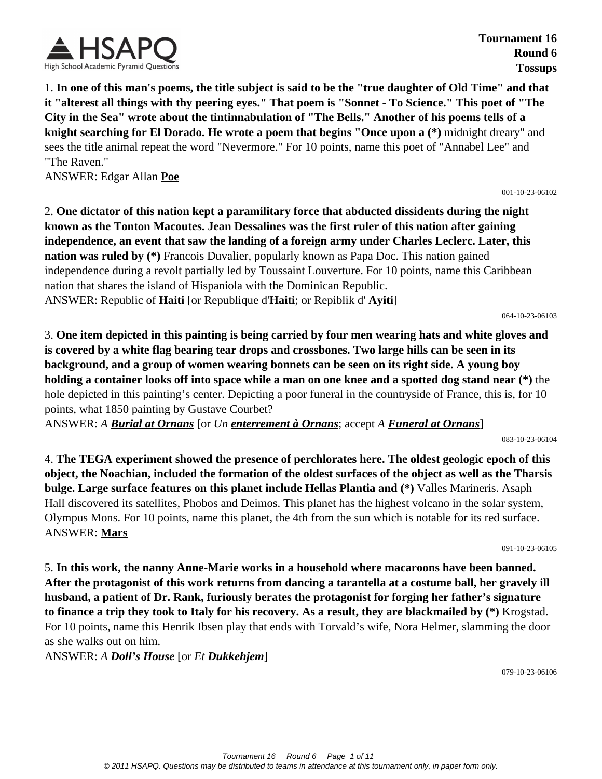

**Tournament 16 Round 6 Tossups**

1. **In one of this man's poems, the title subject is said to be the "true daughter of Old Time" and that it "alterest all things with thy peering eyes." That poem is "Sonnet - To Science." This poet of "The City in the Sea" wrote about the tintinnabulation of "The Bells." Another of his poems tells of a knight searching for El Dorado. He wrote a poem that begins "Once upon a (\*)** midnight dreary" and sees the title animal repeat the word "Nevermore." For 10 points, name this poet of "Annabel Lee" and "The Raven."

ANSWER: Edgar Allan **Poe**

001-10-23-06102

2. **One dictator of this nation kept a paramilitary force that abducted dissidents during the night known as the Tonton Macoutes. Jean Dessalines was the first ruler of this nation after gaining independence, an event that saw the landing of a foreign army under Charles Leclerc. Later, this nation was ruled by (\*)** Francois Duvalier, popularly known as Papa Doc. This nation gained independence during a revolt partially led by Toussaint Louverture. For 10 points, name this Caribbean nation that shares the island of Hispaniola with the Dominican Republic. ANSWER: Republic of **Haiti** [or Republique d'**Haiti**; or Repiblik d' **Ayiti**]

064-10-23-06103

3. **One item depicted in this painting is being carried by four men wearing hats and white gloves and is covered by a white flag bearing tear drops and crossbones. Two large hills can be seen in its background, and a group of women wearing bonnets can be seen on its right side. A young boy holding a container looks off into space while a man on one knee and a spotted dog stand near (\*)** the hole depicted in this painting's center. Depicting a poor funeral in the countryside of France, this is, for 10 points, what 1850 painting by Gustave Courbet?

ANSWER: *A Burial at Ornans* [or *Un enterrement à Ornans*; accept *A Funeral at Ornans*]

083-10-23-06104

4. **The TEGA experiment showed the presence of perchlorates here. The oldest geologic epoch of this object, the Noachian, included the formation of the oldest surfaces of the object as well as the Tharsis bulge. Large surface features on this planet include Hellas Plantia and (\*)** Valles Marineris. Asaph Hall discovered its satellites, Phobos and Deimos. This planet has the highest volcano in the solar system, Olympus Mons. For 10 points, name this planet, the 4th from the sun which is notable for its red surface. ANSWER: **Mars**

091-10-23-06105

5. **In this work, the nanny Anne-Marie works in a household where macaroons have been banned. After the protagonist of this work returns from dancing a tarantella at a costume ball, her gravely ill husband, a patient of Dr. Rank, furiously berates the protagonist for forging her father's signature to finance a trip they took to Italy for his recovery. As a result, they are blackmailed by (\*)** Krogstad. For 10 points, name this Henrik Ibsen play that ends with Torvald's wife, Nora Helmer, slamming the door as she walks out on him.

ANSWER: *A Doll's House* [or *Et Dukkehjem*]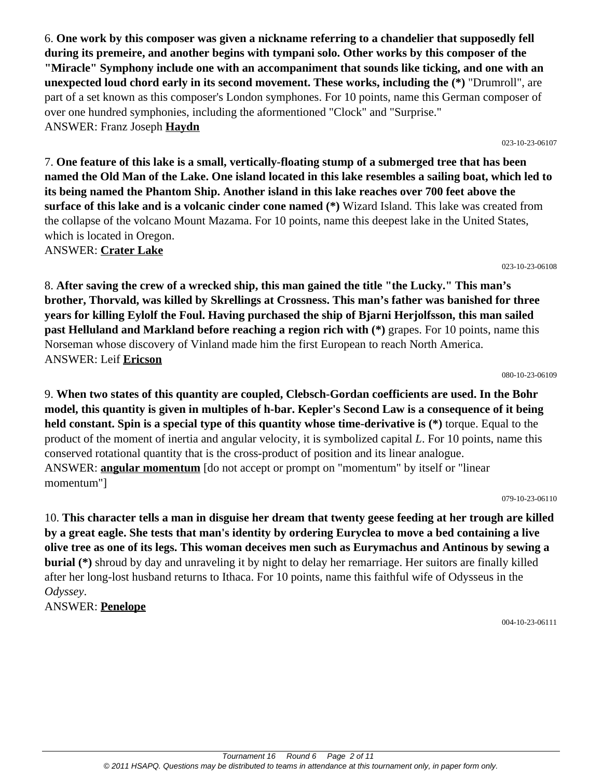6. **One work by this composer was given a nickname referring to a chandelier that supposedly fell during its premeire, and another begins with tympani solo. Other works by this composer of the "Miracle" Symphony include one with an accompaniment that sounds like ticking, and one with an unexpected loud chord early in its second movement. These works, including the (\*)** "Drumroll", are part of a set known as this composer's London symphones. For 10 points, name this German composer of over one hundred symphonies, including the aformentioned "Clock" and "Surprise." ANSWER: Franz Joseph **Haydn** 023-10-23-06107

7. **One feature of this lake is a small, vertically-floating stump of a submerged tree that has been named the Old Man of the Lake. One island located in this lake resembles a sailing boat, which led to its being named the Phantom Ship. Another island in this lake reaches over 700 feet above the surface of this lake and is a volcanic cinder cone named (\*)** Wizard Island. This lake was created from the collapse of the volcano Mount Mazama. For 10 points, name this deepest lake in the United States, which is located in Oregon.

ANSWER: **Crater Lake**

023-10-23-06108

8. **After saving the crew of a wrecked ship, this man gained the title "the Lucky." This man's brother, Thorvald, was killed by Skrellings at Crossness. This man's father was banished for three years for killing Eylolf the Foul. Having purchased the ship of Bjarni Herjolfsson, this man sailed past Helluland and Markland before reaching a region rich with (\*)** grapes. For 10 points, name this Norseman whose discovery of Vinland made him the first European to reach North America. ANSWER: Leif **Ericson**

080-10-23-06109

9. **When two states of this quantity are coupled, Clebsch-Gordan coefficients are used. In the Bohr model, this quantity is given in multiples of h-bar. Kepler's Second Law is a consequence of it being held constant. Spin is a special type of this quantity whose time-derivative is (\*)** torque. Equal to the product of the moment of inertia and angular velocity, it is symbolized capital *L*. For 10 points, name this conserved rotational quantity that is the cross-product of position and its linear analogue. ANSWER: **angular momentum** [do not accept or prompt on "momentum" by itself or "linear momentum"]

079-10-23-06110

10. **This character tells a man in disguise her dream that twenty geese feeding at her trough are killed by a great eagle. She tests that man's identity by ordering Euryclea to move a bed containing a live olive tree as one of its legs. This woman deceives men such as Eurymachus and Antinous by sewing a burial (\*)** shroud by day and unraveling it by night to delay her remarriage. Her suitors are finally killed after her long-lost husband returns to Ithaca. For 10 points, name this faithful wife of Odysseus in the *Odyssey*.

ANSWER: **Penelope**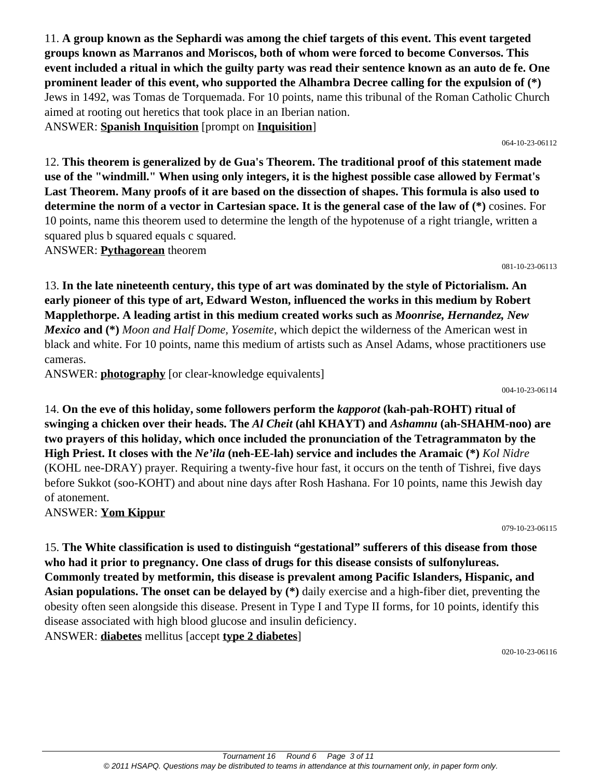11. **A group known as the Sephardi was among the chief targets of this event. This event targeted groups known as Marranos and Moriscos, both of whom were forced to become Conversos. This event included a ritual in which the guilty party was read their sentence known as an auto de fe. One prominent leader of this event, who supported the Alhambra Decree calling for the expulsion of (\*)** Jews in 1492, was Tomas de Torquemada. For 10 points, name this tribunal of the Roman Catholic Church aimed at rooting out heretics that took place in an Iberian nation. ANSWER: **Spanish Inquisition** [prompt on **Inquisition**]

064-10-23-06112

12. **This theorem is generalized by de Gua's Theorem. The traditional proof of this statement made use of the "windmill." When using only integers, it is the highest possible case allowed by Fermat's Last Theorem. Many proofs of it are based on the dissection of shapes. This formula is also used to determine the norm of a vector in Cartesian space. It is the general case of the law of (\*)** cosines. For 10 points, name this theorem used to determine the length of the hypotenuse of a right triangle, written a squared plus b squared equals c squared.

ANSWER: **Pythagorean** theorem

13. **In the late nineteenth century, this type of art was dominated by the style of Pictorialism. An early pioneer of this type of art, Edward Weston, influenced the works in this medium by Robert Mapplethorpe. A leading artist in this medium created works such as** *Moonrise, Hernandez, New Mexico* **and (\*)** *Moon and Half Dome, Yosemite*, which depict the wilderness of the American west in black and white. For 10 points, name this medium of artists such as Ansel Adams, whose practitioners use cameras.

ANSWER: **photography** [or clear-knowledge equivalents]

004-10-23-06114

081-10-23-06113

14. **On the eve of this holiday, some followers perform the** *kapporot* **(kah-pah-ROHT) ritual of swinging a chicken over their heads. The** *Al Cheit* **(ahl KHAYT) and** *Ashamnu* **(ah-SHAHM-noo) are two prayers of this holiday, which once included the pronunciation of the Tetragrammaton by the High Priest. It closes with the** *Ne'ila* **(neh-EE-lah) service and includes the Aramaic (\*)** *Kol Nidre* (KOHL nee-DRAY) prayer. Requiring a twenty-five hour fast, it occurs on the tenth of Tishrei, five days before Sukkot (soo-KOHT) and about nine days after Rosh Hashana. For 10 points, name this Jewish day of atonement.

ANSWER: **Yom Kippur**

079-10-23-06115

15. **The White classification is used to distinguish "gestational" sufferers of this disease from those who had it prior to pregnancy. One class of drugs for this disease consists of sulfonylureas. Commonly treated by metformin, this disease is prevalent among Pacific Islanders, Hispanic, and Asian populations. The onset can be delayed by (\*)** daily exercise and a high-fiber diet, preventing the obesity often seen alongside this disease. Present in Type I and Type II forms, for 10 points, identify this disease associated with high blood glucose and insulin deficiency. ANSWER: **diabetes** mellitus [accept **type 2 diabetes**]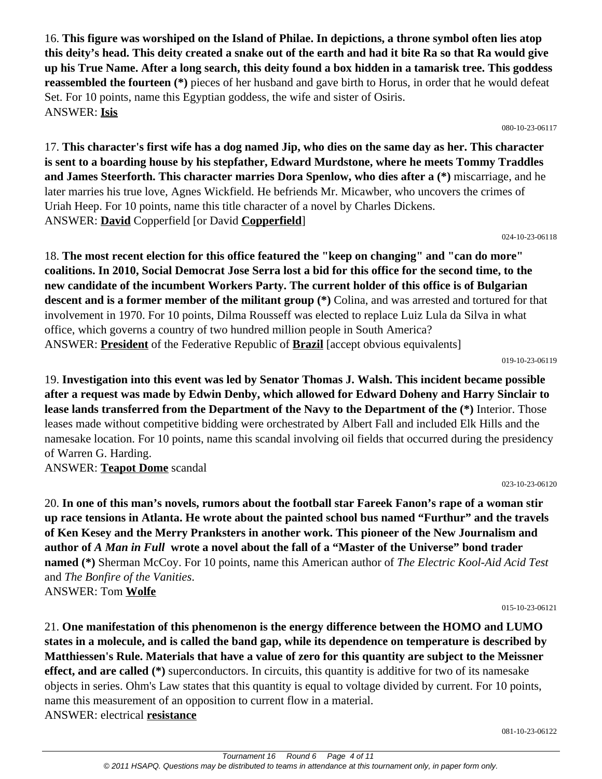16. **This figure was worshiped on the Island of Philae. In depictions, a throne symbol often lies atop this deity's head. This deity created a snake out of the earth and had it bite Ra so that Ra would give up his True Name. After a long search, this deity found a box hidden in a tamarisk tree. This goddess reassembled the fourteen (\*)** pieces of her husband and gave birth to Horus, in order that he would defeat Set. For 10 points, name this Egyptian goddess, the wife and sister of Osiris. ANSWER: **Isis**

080-10-23-06117

17. **This character's first wife has a dog named Jip, who dies on the same day as her. This character is sent to a boarding house by his stepfather, Edward Murdstone, where he meets Tommy Traddles and James Steerforth. This character marries Dora Spenlow, who dies after a (\*)** miscarriage, and he later marries his true love, Agnes Wickfield. He befriends Mr. Micawber, who uncovers the crimes of Uriah Heep. For 10 points, name this title character of a novel by Charles Dickens. ANSWER: **David** Copperfield [or David **Copperfield**]

024-10-23-06118

18. **The most recent election for this office featured the "keep on changing" and "can do more" coalitions. In 2010, Social Democrat Jose Serra lost a bid for this office for the second time, to the new candidate of the incumbent Workers Party. The current holder of this office is of Bulgarian descent and is a former member of the militant group (\*)** Colina, and was arrested and tortured for that involvement in 1970. For 10 points, Dilma Rousseff was elected to replace Luiz Lula da Silva in what office, which governs a country of two hundred million people in South America? ANSWER: **President** of the Federative Republic of **Brazil** [accept obvious equivalents]

019-10-23-06119

19. **Investigation into this event was led by Senator Thomas J. Walsh. This incident became possible after a request was made by Edwin Denby, which allowed for Edward Doheny and Harry Sinclair to lease lands transferred from the Department of the Navy to the Department of the (\*)** Interior. Those leases made without competitive bidding were orchestrated by Albert Fall and included Elk Hills and the namesake location. For 10 points, name this scandal involving oil fields that occurred during the presidency of Warren G. Harding.

ANSWER: **Teapot Dome** scandal

023-10-23-06120

20. **In one of this man's novels, rumors about the football star Fareek Fanon's rape of a woman stir up race tensions in Atlanta. He wrote about the painted school bus named "Furthur" and the travels of Ken Kesey and the Merry Pranksters in another work. This pioneer of the New Journalism and author of** *A Man in Full* **wrote a novel about the fall of a "Master of the Universe" bond trader named (\*)** Sherman McCoy. For 10 points, name this American author of *The Electric Kool-Aid Acid Test* and *The Bonfire of the Vanities*. ANSWER: Tom **Wolfe**

015-10-23-06121

21. **One manifestation of this phenomenon is the energy difference between the HOMO and LUMO states in a molecule, and is called the band gap, while its dependence on temperature is described by Matthiessen's Rule. Materials that have a value of zero for this quantity are subject to the Meissner effect, and are called (\*)** superconductors. In circuits, this quantity is additive for two of its namesake objects in series. Ohm's Law states that this quantity is equal to voltage divided by current. For 10 points, name this measurement of an opposition to current flow in a material. ANSWER: electrical **resistance**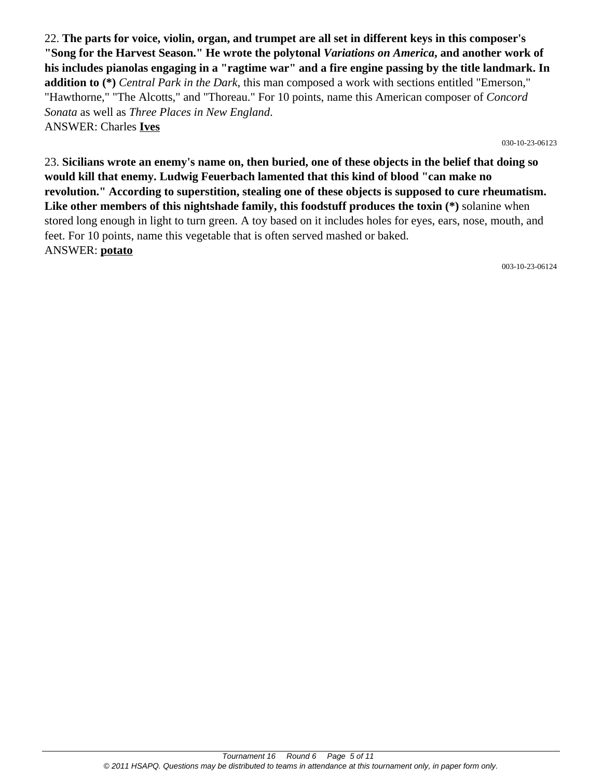22. **The parts for voice, violin, organ, and trumpet are all set in different keys in this composer's "Song for the Harvest Season." He wrote the polytonal** *Variations on America***, and another work of his includes pianolas engaging in a "ragtime war" and a fire engine passing by the title landmark. In addition to (\*)** *Central Park in the Dark*, this man composed a work with sections entitled "Emerson," "Hawthorne," "The Alcotts," and "Thoreau." For 10 points, name this American composer of *Concord Sonata* as well as *Three Places in New England*. ANSWER: Charles **Ives**

030-10-23-06123

23. **Sicilians wrote an enemy's name on, then buried, one of these objects in the belief that doing so would kill that enemy. Ludwig Feuerbach lamented that this kind of blood "can make no revolution." According to superstition, stealing one of these objects is supposed to cure rheumatism. Like other members of this nightshade family, this foodstuff produces the toxin (\*)** solanine when stored long enough in light to turn green. A toy based on it includes holes for eyes, ears, nose, mouth, and feet. For 10 points, name this vegetable that is often served mashed or baked. ANSWER: **potato**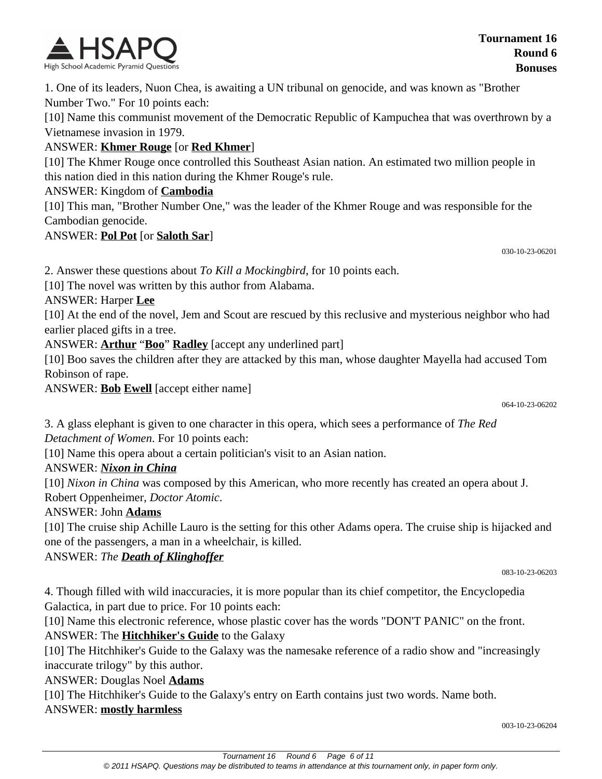

1. One of its leaders, Nuon Chea, is awaiting a UN tribunal on genocide, and was known as "Brother Number Two." For 10 points each:

[10] Name this communist movement of the Democratic Republic of Kampuchea that was overthrown by a Vietnamese invasion in 1979.

#### ANSWER: **Khmer Rouge** [or **Red Khmer**]

[10] The Khmer Rouge once controlled this Southeast Asian nation. An estimated two million people in this nation died in this nation during the Khmer Rouge's rule.

#### ANSWER: Kingdom of **Cambodia**

[10] This man, "Brother Number One," was the leader of the Khmer Rouge and was responsible for the Cambodian genocide.

ANSWER: **Pol Pot** [or **Saloth Sar**]

030-10-23-06201

2. Answer these questions about *To Kill a Mockingbird*, for 10 points each.

[10] The novel was written by this author from Alabama.

ANSWER: Harper **Lee**

[10] At the end of the novel, Jem and Scout are rescued by this reclusive and mysterious neighbor who had earlier placed gifts in a tree.

ANSWER: **Arthur** "**Boo**" **Radley** [accept any underlined part]

[10] Boo saves the children after they are attacked by this man, whose daughter Mayella had accused Tom Robinson of rape.

ANSWER: **Bob Ewell** [accept either name]

064-10-23-06202

3. A glass elephant is given to one character in this opera, which sees a performance of *The Red Detachment of Women*. For 10 points each:

[10] Name this opera about a certain politician's visit to an Asian nation.

### ANSWER: *Nixon in China*

[10] *Nixon in China* was composed by this American, who more recently has created an opera about J. Robert Oppenheimer, *Doctor Atomic*.

### ANSWER: John **Adams**

[10] The cruise ship Achille Lauro is the setting for this other Adams opera. The cruise ship is hijacked and one of the passengers, a man in a wheelchair, is killed.

#### ANSWER: *The Death of Klinghoffer*

083-10-23-06203

4. Though filled with wild inaccuracies, it is more popular than its chief competitor, the Encyclopedia Galactica, in part due to price. For 10 points each:

[10] Name this electronic reference, whose plastic cover has the words "DON'T PANIC" on the front. ANSWER: The **Hitchhiker's Guide** to the Galaxy

[10] The Hitchhiker's Guide to the Galaxy was the namesake reference of a radio show and "increasingly inaccurate trilogy" by this author.

ANSWER: Douglas Noel **Adams**

[10] The Hitchhiker's Guide to the Galaxy's entry on Earth contains just two words. Name both.

#### ANSWER: **mostly harmless**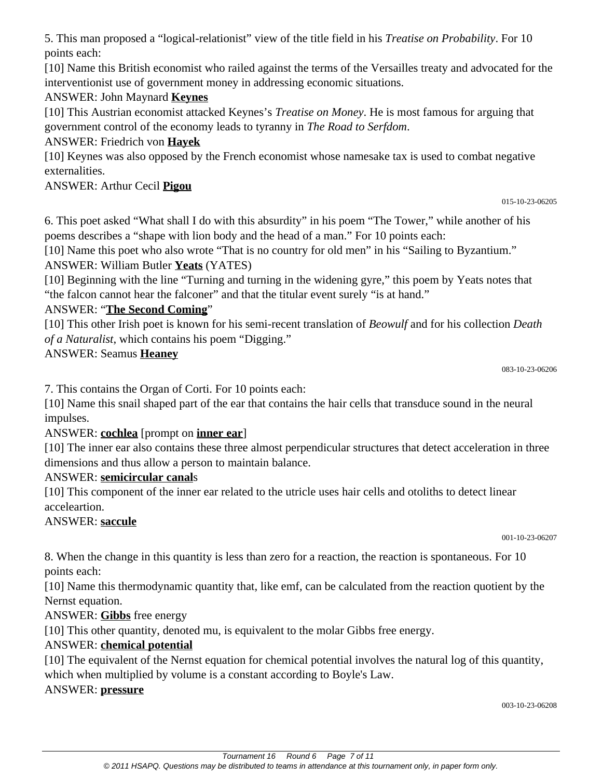5. This man proposed a "logical-relationist" view of the title field in his *Treatise on Probability*. For 10 points each:

[10] Name this British economist who railed against the terms of the Versailles treaty and advocated for the interventionist use of government money in addressing economic situations.

### ANSWER: John Maynard **Keynes**

[10] This Austrian economist attacked Keynes's *Treatise on Money*. He is most famous for arguing that government control of the economy leads to tyranny in *The Road to Serfdom*.

### ANSWER: Friedrich von **Hayek**

[10] Keynes was also opposed by the French economist whose namesake tax is used to combat negative externalities.

#### ANSWER: Arthur Cecil **Pigou**

```
015-10-23-06205
```
6. This poet asked "What shall I do with this absurdity" in his poem "The Tower," while another of his poems describes a "shape with lion body and the head of a man." For 10 points each:

[10] Name this poet who also wrote "That is no country for old men" in his "Sailing to Byzantium." ANSWER: William Butler **Yeats** (YATES)

[10] Beginning with the line "Turning and turning in the widening gyre," this poem by Yeats notes that "the falcon cannot hear the falconer" and that the titular event surely "is at hand."

#### ANSWER: "**The Second Coming**"

[10] This other Irish poet is known for his semi-recent translation of *Beowulf* and for his collection *Death of a Naturalist*, which contains his poem "Digging."

#### ANSWER: Seamus **Heaney**

7. This contains the Organ of Corti. For 10 points each:

[10] Name this snail shaped part of the ear that contains the hair cells that transduce sound in the neural impulses.

### ANSWER: **cochlea** [prompt on **inner ear**]

[10] The inner ear also contains these three almost perpendicular structures that detect acceleration in three dimensions and thus allow a person to maintain balance.

### ANSWER: **semicircular canal**s

[10] This component of the inner ear related to the utricle uses hair cells and otoliths to detect linear acceleartion.

### ANSWER: **saccule**

001-10-23-06207

8. When the change in this quantity is less than zero for a reaction, the reaction is spontaneous. For 10 points each:

[10] Name this thermodynamic quantity that, like emf, can be calculated from the reaction quotient by the Nernst equation.

### ANSWER: **Gibbs** free energy

[10] This other quantity, denoted mu, is equivalent to the molar Gibbs free energy.

### ANSWER: **chemical potential**

[10] The equivalent of the Nernst equation for chemical potential involves the natural log of this quantity, which when multiplied by volume is a constant according to Boyle's Law.

#### ANSWER: **pressure**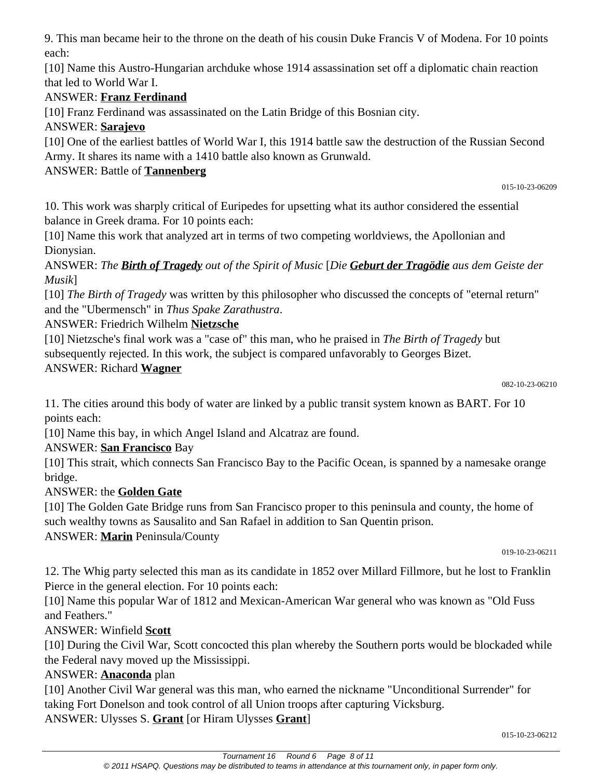9. This man became heir to the throne on the death of his cousin Duke Francis V of Modena. For 10 points each:

[10] Name this Austro-Hungarian archduke whose 1914 assassination set off a diplomatic chain reaction that led to World War I.

## ANSWER: **Franz Ferdinand**

[10] Franz Ferdinand was assassinated on the Latin Bridge of this Bosnian city.

### ANSWER: **Sarajevo**

[10] One of the earliest battles of World War I, this 1914 battle saw the destruction of the Russian Second Army. It shares its name with a 1410 battle also known as Grunwald.

## ANSWER: Battle of **Tannenberg**

015-10-23-06209

10. This work was sharply critical of Euripedes for upsetting what its author considered the essential balance in Greek drama. For 10 points each:

[10] Name this work that analyzed art in terms of two competing worldviews, the Apollonian and Dionysian.

ANSWER: *The Birth of Tragedy out of the Spirit of Music* [*Die Geburt der Tragödie aus dem Geiste der Musik*]

[10] *The Birth of Tragedy* was written by this philosopher who discussed the concepts of "eternal return" and the "Ubermensch" in *Thus Spake Zarathustra*.

# ANSWER: Friedrich Wilhelm **Nietzsche**

[10] Nietzsche's final work was a "case of" this man, who he praised in *The Birth of Tragedy* but subsequently rejected. In this work, the subject is compared unfavorably to Georges Bizet. ANSWER: Richard **Wagner**

11. The cities around this body of water are linked by a public transit system known as BART. For 10 points each:

[10] Name this bay, in which Angel Island and Alcatraz are found.

# ANSWER: **San Francisco** Bay

[10] This strait, which connects San Francisco Bay to the Pacific Ocean, is spanned by a namesake orange bridge.

# ANSWER: the **Golden Gate**

[10] The Golden Gate Bridge runs from San Francisco proper to this peninsula and county, the home of such wealthy towns as Sausalito and San Rafael in addition to San Quentin prison.

ANSWER: **Marin** Peninsula/County

019-10-23-06211

12. The Whig party selected this man as its candidate in 1852 over Millard Fillmore, but he lost to Franklin Pierce in the general election. For 10 points each:

[10] Name this popular War of 1812 and Mexican-American War general who was known as "Old Fuss" and Feathers."

# ANSWER: Winfield **Scott**

[10] During the Civil War, Scott concocted this plan whereby the Southern ports would be blockaded while the Federal navy moved up the Mississippi.

# ANSWER: **Anaconda** plan

[10] Another Civil War general was this man, who earned the nickname "Unconditional Surrender" for taking Fort Donelson and took control of all Union troops after capturing Vicksburg.

ANSWER: Ulysses S. **Grant** [or Hiram Ulysses **Grant**]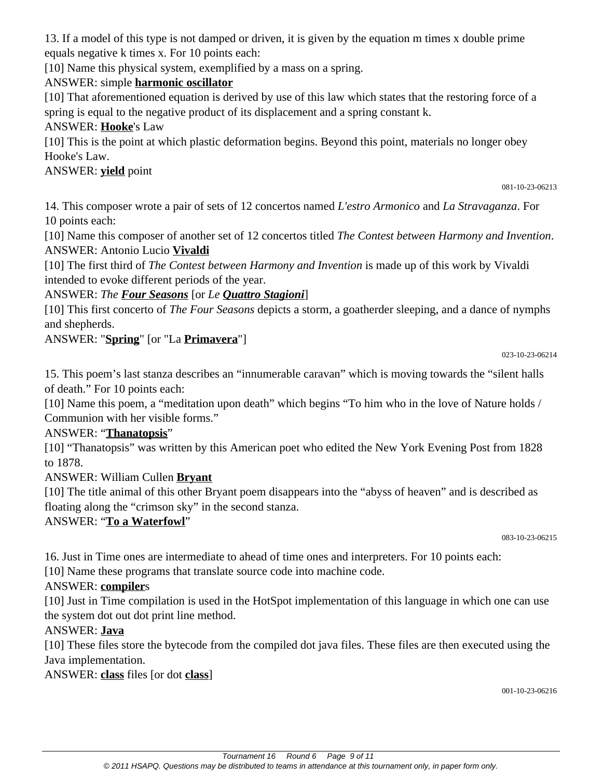13. If a model of this type is not damped or driven, it is given by the equation m times x double prime equals negative k times x. For 10 points each:

[10] Name this physical system, exemplified by a mass on a spring.

### ANSWER: simple **harmonic oscillator**

[10] That aforementioned equation is derived by use of this law which states that the restoring force of a spring is equal to the negative product of its displacement and a spring constant k.

#### ANSWER: **Hooke**'s Law

[10] This is the point at which plastic deformation begins. Beyond this point, materials no longer obey Hooke's Law.

### ANSWER: **yield** point

081-10-23-06213

14. This composer wrote a pair of sets of 12 concertos named *L'estro Armonico* and *La Stravaganza*. For 10 points each:

[10] Name this composer of another set of 12 concertos titled *The Contest between Harmony and Invention*. ANSWER: Antonio Lucio **Vivaldi**

[10] The first third of *The Contest between Harmony and Invention* is made up of this work by Vivaldi intended to evoke different periods of the year.

### ANSWER: *The Four Seasons* [or *Le Quattro Stagioni*]

[10] This first concerto of *The Four Seasons* depicts a storm, a goatherder sleeping, and a dance of nymphs and shepherds.

## ANSWER: "**Spring**" [or "La **Primavera**"]

023-10-23-06214

15. This poem's last stanza describes an "innumerable caravan" which is moving towards the "silent halls of death." For 10 points each:

[10] Name this poem, a "meditation upon death" which begins "To him who in the love of Nature holds / Communion with her visible forms."

### ANSWER: "**Thanatopsis**"

[10] "Thanatopsis" was written by this American poet who edited the New York Evening Post from 1828 to 1878.

ANSWER: William Cullen **Bryant**

[10] The title animal of this other Bryant poem disappears into the "abyss of heaven" and is described as floating along the "crimson sky" in the second stanza.

### ANSWER: "**To a Waterfowl**"

083-10-23-06215

16. Just in Time ones are intermediate to ahead of time ones and interpreters. For 10 points each:

[10] Name these programs that translate source code into machine code.

### ANSWER: **compiler**s

[10] Just in Time compilation is used in the HotSpot implementation of this language in which one can use the system dot out dot print line method.

### ANSWER: **Java**

[10] These files store the bytecode from the compiled dot java files. These files are then executed using the Java implementation.

ANSWER: **class** files [or dot **class**]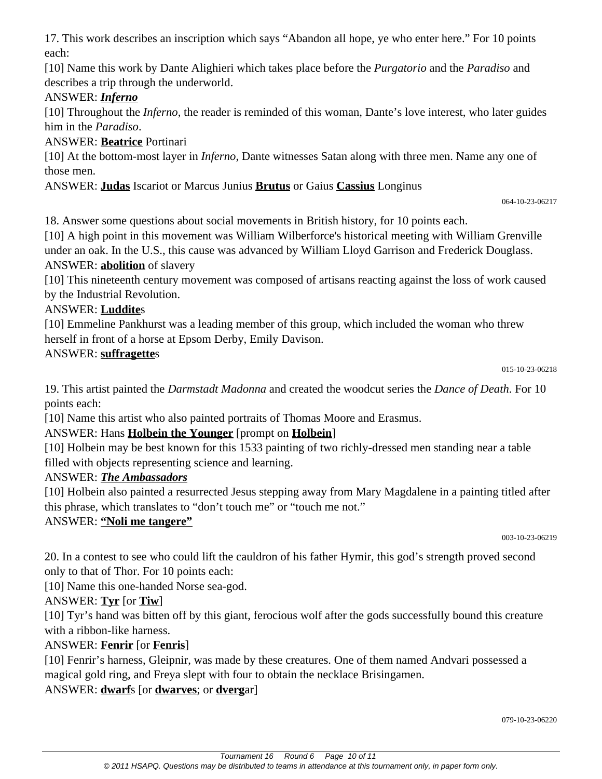17. This work describes an inscription which says "Abandon all hope, ye who enter here." For 10 points each:

[10] Name this work by Dante Alighieri which takes place before the *Purgatorio* and the *Paradiso* and describes a trip through the underworld.

### ANSWER: *Inferno*

[10] Throughout the *Inferno*, the reader is reminded of this woman, Dante's love interest, who later guides him in the *Paradiso*.

ANSWER: **Beatrice** Portinari

[10] At the bottom-most layer in *Inferno*, Dante witnesses Satan along with three men. Name any one of those men.

ANSWER: **Judas** Iscariot or Marcus Junius **Brutus** or Gaius **Cassius** Longinus

064-10-23-06217

18. Answer some questions about social movements in British history, for 10 points each.

[10] A high point in this movement was William Wilberforce's historical meeting with William Grenville under an oak. In the U.S., this cause was advanced by William Lloyd Garrison and Frederick Douglass. ANSWER: **abolition** of slavery

[10] This nineteenth century movement was composed of artisans reacting against the loss of work caused by the Industrial Revolution.

### ANSWER: **Luddite**s

[10] Emmeline Pankhurst was a leading member of this group, which included the woman who threw herself in front of a horse at Epsom Derby, Emily Davison.

### ANSWER: **suffragette**s

19. This artist painted the *Darmstadt Madonna* and created the woodcut series the *Dance of Death*. For 10 points each:

[10] Name this artist who also painted portraits of Thomas Moore and Erasmus.

# ANSWER: Hans **Holbein the Younger** [prompt on **Holbein**]

[10] Holbein may be best known for this 1533 painting of two richly-dressed men standing near a table filled with objects representing science and learning.

### ANSWER: *The Ambassadors*

[10] Holbein also painted a resurrected Jesus stepping away from Mary Magdalene in a painting titled after this phrase, which translates to "don't touch me" or "touch me not."

### ANSWER: **"Noli me tangere"**

003-10-23-06219

20. In a contest to see who could lift the cauldron of his father Hymir, this god's strength proved second only to that of Thor. For 10 points each:

[10] Name this one-handed Norse sea-god.

# ANSWER: **Tyr** [or **Tiw**]

[10] Tyr's hand was bitten off by this giant, ferocious wolf after the gods successfully bound this creature with a ribbon-like harness.

# ANSWER: **Fenrir** [or **Fenris**]

[10] Fenrir's harness, Gleipnir, was made by these creatures. One of them named Andvari possessed a magical gold ring, and Freya slept with four to obtain the necklace Brisingamen.

ANSWER: **dwarf**s [or **dwarves**; or **dverg**ar]